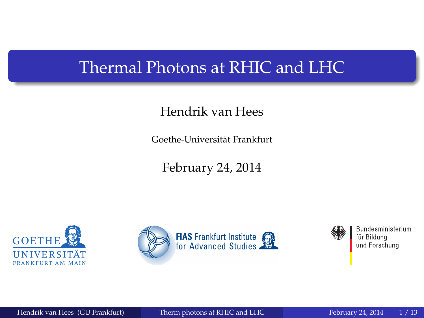#### <span id="page-0-0"></span>Thermal Photons at RHIC and LHC

#### Hendrik van Hees

Goethe-Universitat Frankfurt ¨

February 24, 2014







Bundesministerium für Bildung und Forschung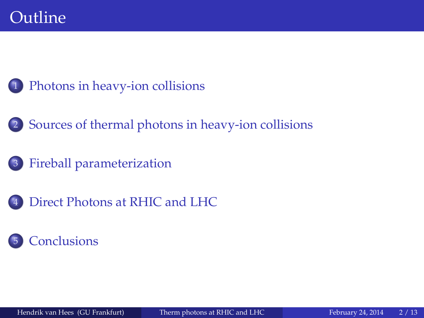- [Photons in heavy-ion collisions](#page-2-0)
- 2 [Sources of thermal photons in heavy-ion collisions](#page-4-0)
	- 3 [Fireball parameterization](#page-5-0)
- [Direct Photons at RHIC and LHC](#page-8-0)

#### **[Conclusions](#page-12-0)**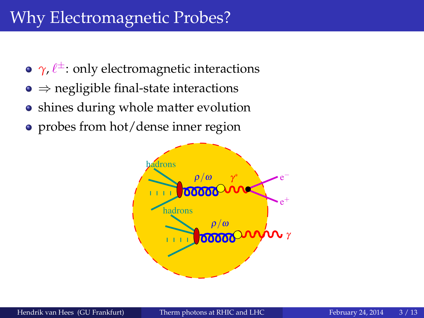# <span id="page-2-0"></span>Why Electromagnetic Probes?

- $\gamma$ ,  $\ell^{\pm}$ : only electromagnetic interactions
- $\bullet \Rightarrow$  negligible final-state interactions
- shines during whole matter evolution
- probes from hot/dense inner region

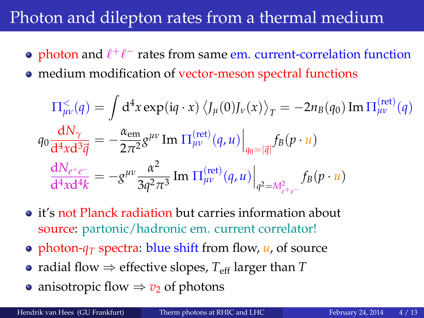## Photon and dilepton rates from a thermal medium

- photon and  $\ell^+\ell^-$  rates from same em. current-correlation function
- medium modification of vector-meson spectral functions

$$
\Pi_{\mu\nu}^{\leq}(q) = \int d^4x \exp(iq \cdot x) \left\langle J_{\mu}(0)J_{\nu}(x) \right\rangle_T = -2n_B(q_0) \operatorname{Im} \Pi_{\mu\nu}^{\text{(ret)}}(q)
$$

$$
q_0 \frac{dN_{\gamma}}{d^4x d^3 \vec{q}} = -\frac{\alpha_{\text{em}}}{2\pi^2} g^{\mu\nu} \operatorname{Im} \Pi_{\mu\nu}^{\text{(ret)}}(q, u) \Big|_{q_0 = |\vec{q}|} f_B(p \cdot u)
$$

$$
\frac{dN_{e^+e^-}}{d^4x d^4 k} = -g^{\mu\nu} \frac{\alpha^2}{3q^2 \pi^3} \operatorname{Im} \Pi_{\mu\nu}^{\text{(ret)}}(q, u) \Big|_{q^2 = M_{e^+e^-}^2} f_B(p \cdot u)
$$

- it's not Planck radiation but carries information about source: partonic/hadronic em. current correlator!
- photon- $q_T$  spectra: blue shift from flow,  $u$ , of source
- radial flow  $\Rightarrow$  effective slopes,  $T_{\text{eff}}$  larger than  $T$
- anisotropic flow  $\Rightarrow v_2$  of photons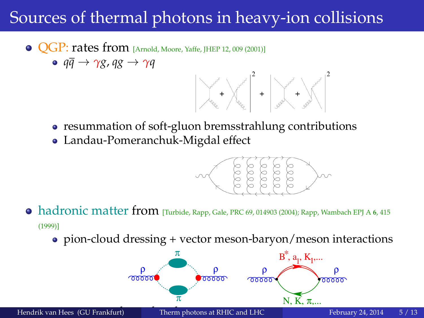# <span id="page-4-0"></span>Sources of thermal photons in heavy-ion collisions

- **QGP: rates from** [Arnold, Moore, Yaffe, JHEP 12, 009 (2001)]
	- $\circ$   $q\bar{q} \rightarrow \gamma g$ ,  $qg \rightarrow \gamma q$



- resummation of soft-gluon bremsstrahlung contributions
- Landau-Pomeranchuk-Migdal effect



- hadronic matter from [Turbide, Rapp, Gale, PRC 69, 014903 (2004); Rapp, Wambach EPJ A **<sup>6</sup>**, 415 (1999)]
	- pion-cloud dressing + vector meson-baryon/meson interactions

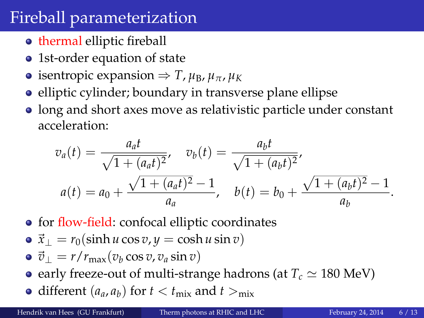## <span id="page-5-0"></span>Fireball parameterization

- **thermal elliptic fireball**
- 1st-order equation of state
- $\bullet$  isentropic expansion  $\Rightarrow$  *T*, *μ*<sub>B</sub>, *μ*<sub>π</sub>, *μ*<sub>K</sub>
- elliptic cylinder; boundary in transverse plane ellipse
- long and short axes move as relativistic particle under constant acceleration:

$$
v_a(t) = \frac{a_a t}{\sqrt{1 + (a_a t)^2}}, \quad v_b(t) = \frac{a_b t}{\sqrt{1 + (a_b t)^2}},
$$
  

$$
a(t) = a_0 + \frac{\sqrt{1 + (a_a t)^2} - 1}{a_a}, \quad b(t) = b_0 + \frac{\sqrt{1 + (a_b t)^2} - 1}{a_b}.
$$

- for flow-field: confocal elliptic coordinates
- $\vec{x}_\perp = r_0(\sinh u \cos v, y = \cosh u \sin v)$
- $\vec{v}_\perp = r/r_{\text{max}}(v_b \cos v, v_a \sin v)$
- early freeze-out of multi-strange hadrons (at  $T_c \simeq 180$  MeV)
- different  $(a_a, a_b)$  for  $t < t_{\text{mix}}$  and  $t >_{\text{mix}}$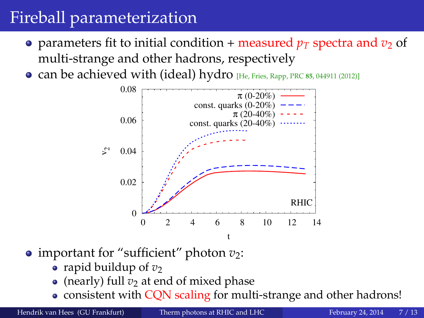# Fireball parameterization

- parameters fit to initial condition + measured  $p_T$  spectra and  $v_2$  of multi-strange and other hadrons, respectively
- can be achieved with (ideal) hydro [He, Fries, Rapp, PRC **<sup>85</sup>**, 044911 (2012)]



- important for "sufficient" photon  $v_2$ :
	- rapid buildup of  $v_2$
	- (nearly) full  $v_2$  at end of mixed phase
	- consistent with CQN scaling for multi-strange and other hadrons!

Hendrik van Hees (GU Frankfurt) [Therm photons at RHIC and LHC](#page-0-0) February 24, 2014 7/13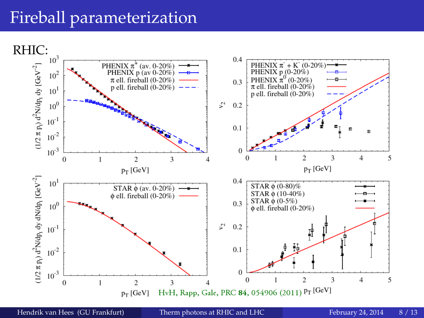## Fireball parameterization



Hendrik van Hees (GU Frankfurt) [Therm photons at RHIC and LHC](#page-0-0) February 24, 2014 8 / 13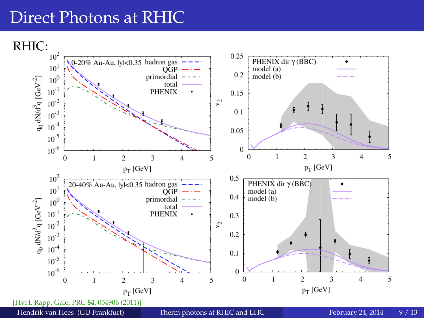#### <span id="page-8-0"></span>Direct Photons at RHIC

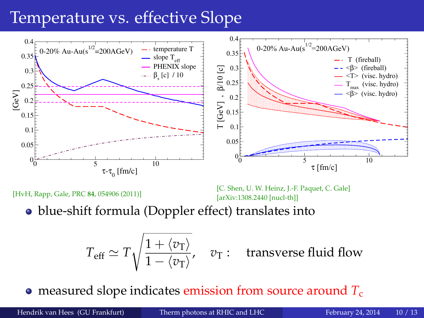# Temperature vs. effective Slope



[HvH, Rapp, Gale, PRC **84**, 054906 (2011)]

[C. Shen, U. W. Heinz, J.-F. Paquet, C. Gale] [arXiv:1308.2440 [nucl-th]]

blue-shift formula (Doppler effect) translates into

$$
T_{\text{eff}} \simeq T \sqrt{\frac{1 + \langle v_{\text{T}} \rangle}{1 - \langle v_{\text{T}} \rangle}}, \quad v_{\text{T}}:
$$
 transverse fluid flow

**•** measured slope indicates emission from source around  $T_c$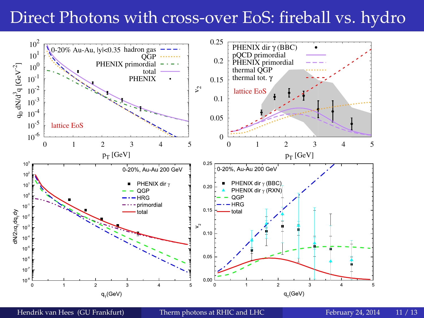# Direct Photons with cross-over EoS: fireball vs. hydro



Hendrik van Hees (GU Frankfurt) [Therm photons at RHIC and LHC](#page-0-0) February 24, 2014 11 / 13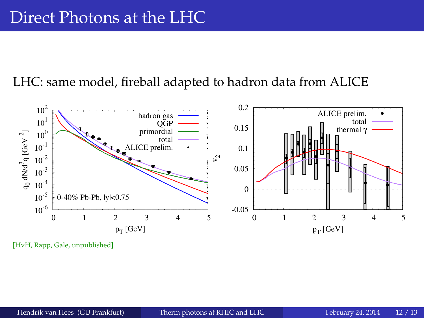#### LHC: same model, fireball adapted to hadron data from ALICE



[HvH, Rapp, Gale, unpublished]